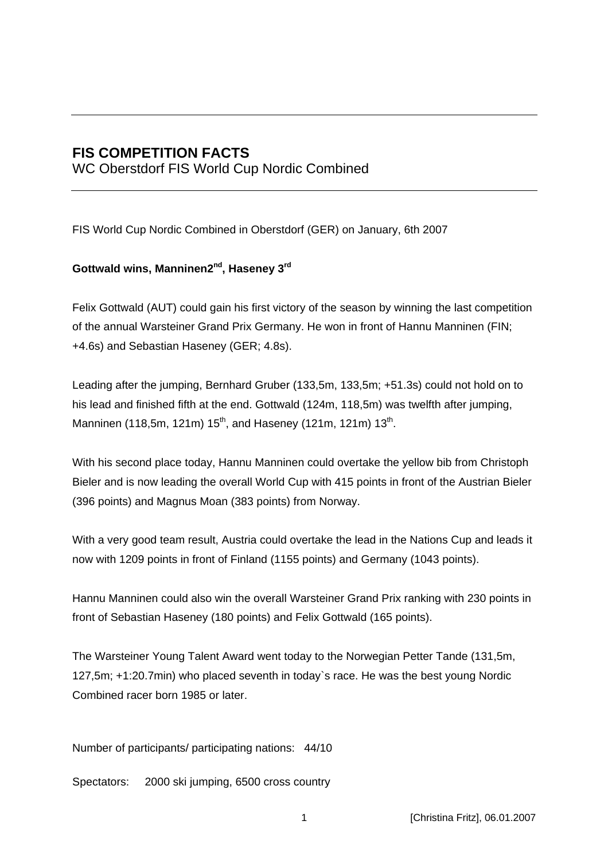# **FIS COMPETITION FACTS**

WC Oberstdorf FIS World Cup Nordic Combined

FIS World Cup Nordic Combined in Oberstdorf (GER) on January, 6th 2007

### Gottwald wins, Manninen2<sup>nd</sup>, Haseney 3<sup>rd</sup>

Felix Gottwald (AUT) could gain his first victory of the season by winning the last competition of the annual Warsteiner Grand Prix Germany. He won in front of Hannu Manninen (FIN; +4.6s) and Sebastian Haseney (GER; 4.8s).

Leading after the jumping, Bernhard Gruber (133,5m, 133,5m; +51.3s) could not hold on to his lead and finished fifth at the end. Gottwald (124m, 118,5m) was twelfth after jumping, Manninen (118,5m, 121m)  $15^{th}$ , and Haseney (121m, 121m)  $13^{th}$ .

With his second place today, Hannu Manninen could overtake the yellow bib from Christoph Bieler and is now leading the overall World Cup with 415 points in front of the Austrian Bieler (396 points) and Magnus Moan (383 points) from Norway.

With a very good team result, Austria could overtake the lead in the Nations Cup and leads it now with 1209 points in front of Finland (1155 points) and Germany (1043 points).

Hannu Manninen could also win the overall Warsteiner Grand Prix ranking with 230 points in front of Sebastian Haseney (180 points) and Felix Gottwald (165 points).

The Warsteiner Young Talent Award went today to the Norwegian Petter Tande (131,5m, 127,5m; +1:20.7min) who placed seventh in today`s race. He was the best young Nordic Combined racer born 1985 or later.

Number of participants/ participating nations: 44/10

Spectators: 2000 ski jumping, 6500 cross country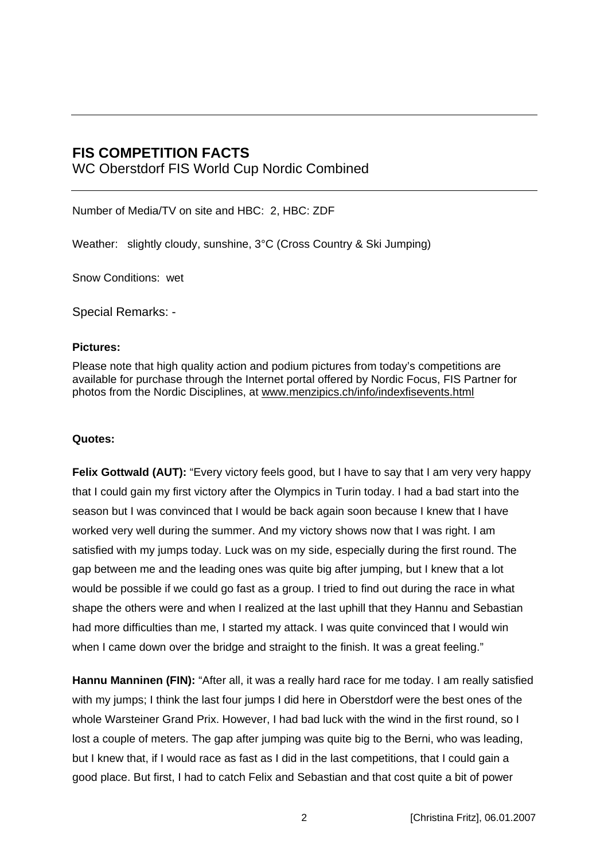### **FIS COMPETITION FACTS**

WC Oberstdorf FIS World Cup Nordic Combined

Number of Media/TV on site and HBC: 2, HBC: ZDF

Weather: slightly cloudy, sunshine, 3°C (Cross Country & Ski Jumping)

Snow Conditions: wet

Special Remarks: -

#### **Pictures:**

Please note that high quality action and podium pictures from today's competitions are available for purchase through the Internet portal offered by Nordic Focus, FIS Partner for photos from the Nordic Disciplines, at www.menzipics.ch/info/indexfisevents.html

#### **Quotes:**

**Felix Gottwald (AUT):** "Every victory feels good, but I have to say that I am very very happy that I could gain my first victory after the Olympics in Turin today. I had a bad start into the season but I was convinced that I would be back again soon because I knew that I have worked very well during the summer. And my victory shows now that I was right. I am satisfied with my jumps today. Luck was on my side, especially during the first round. The gap between me and the leading ones was quite big after jumping, but I knew that a lot would be possible if we could go fast as a group. I tried to find out during the race in what shape the others were and when I realized at the last uphill that they Hannu and Sebastian had more difficulties than me, I started my attack. I was quite convinced that I would win when I came down over the bridge and straight to the finish. It was a great feeling."

**Hannu Manninen (FIN):** "After all, it was a really hard race for me today. I am really satisfied with my jumps; I think the last four jumps I did here in Oberstdorf were the best ones of the whole Warsteiner Grand Prix. However, I had bad luck with the wind in the first round, so I lost a couple of meters. The gap after jumping was quite big to the Berni, who was leading, but I knew that, if I would race as fast as I did in the last competitions, that I could gain a good place. But first, I had to catch Felix and Sebastian and that cost quite a bit of power